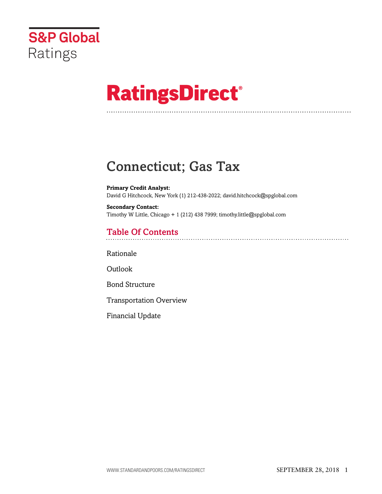

# **RatingsDirect®**

# Connecticut; Gas Tax

**Primary Credit Analyst:** David G Hitchcock, New York (1) 212-438-2022; david.hitchcock@spglobal.com

**Secondary Contact:** Timothy W Little, Chicago + 1 (212) 438 7999; timothy.little@spglobal.com

## Table Of Contents

[Rationale](#page-1-0)

**[Outlook](#page-3-0)** 

[Bond Structure](#page-4-0)

[Transportation Overview](#page-5-0)

[Financial Update](#page-5-1)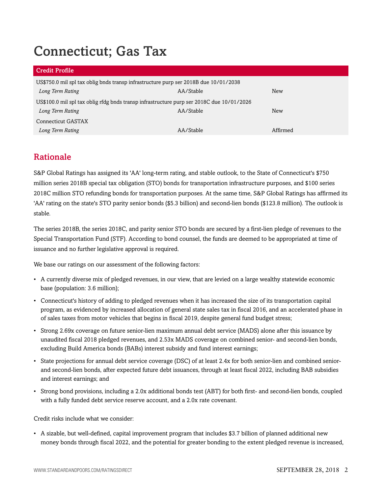# Connecticut; Gas Tax

#### Credit Profile

| $\sim$ $\sim$ $\sim$ $\sim$ $\sim$ $\sim$ $\sim$                                          |           |          |  |  |  |  |  |  |
|-------------------------------------------------------------------------------------------|-----------|----------|--|--|--|--|--|--|
| US\$750.0 mil spl tax oblig bnds transp infrastructure purp ser 2018B due 10/01/2038      |           |          |  |  |  |  |  |  |
| Long Term Rating                                                                          | AA/Stable | New      |  |  |  |  |  |  |
| US\$100.0 mil spl tax oblig rfdg bnds transp infrastructure purp ser 2018C due 10/01/2026 |           |          |  |  |  |  |  |  |
| Long Term Rating                                                                          | AA/Stable | New      |  |  |  |  |  |  |
| Connecticut GASTAX                                                                        |           |          |  |  |  |  |  |  |
| Long Term Rating                                                                          | AA/Stable | Affirmed |  |  |  |  |  |  |

### <span id="page-1-0"></span>Rationale

S&P Global Ratings has assigned its 'AA' long-term rating, and stable outlook, to the State of Connecticut's \$750 million series 2018B special tax obligation (STO) bonds for transportation infrastructure purposes, and \$100 series 2018C million STO refunding bonds for transportation purposes. At the same time, S&P Global Ratings has affirmed its 'AA' rating on the state's STO parity senior bonds (\$5.3 billion) and second-lien bonds (\$123.8 million). The outlook is stable.

The series 2018B, the series 2018C, and parity senior STO bonds are secured by a first-lien pledge of revenues to the Special Transportation Fund (STF). According to bond counsel, the funds are deemed to be appropriated at time of issuance and no further legislative approval is required.

We base our ratings on our assessment of the following factors:

- A currently diverse mix of pledged revenues, in our view, that are levied on a large wealthy statewide economic base (population: 3.6 million);
- Connecticut's history of adding to pledged revenues when it has increased the size of its transportation capital program, as evidenced by increased allocation of general state sales tax in fiscal 2016, and an accelerated phase in of sales taxes from motor vehicles that begins in fiscal 2019, despite general fund budget stress;
- Strong 2.69x coverage on future senior-lien maximum annual debt service (MADS) alone after this issuance by unaudited fiscal 2018 pledged revenues, and 2.53x MADS coverage on combined senior- and second-lien bonds, excluding Build America bonds (BABs) interest subsidy and fund interest earnings;
- State projections for annual debt service coverage (DSC) of at least 2.4x for both senior-lien and combined seniorand second-lien bonds, after expected future debt issuances, through at least fiscal 2022, including BAB subsidies and interest earnings; and
- Strong bond provisions, including a 2.0x additional bonds test (ABT) for both first- and second-lien bonds, coupled with a fully funded debt service reserve account, and a 2.0x rate covenant.

Credit risks include what we consider:

• A sizable, but well-defined, capital improvement program that includes \$3.7 billion of planned additional new money bonds through fiscal 2022, and the potential for greater bonding to the extent pledged revenue is increased,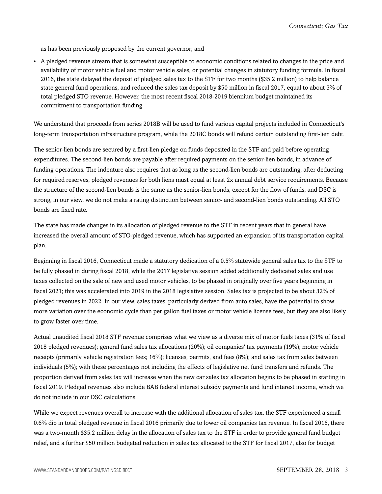as has been previously proposed by the current governor; and

• A pledged revenue stream that is somewhat susceptible to economic conditions related to changes in the price and availability of motor vehicle fuel and motor vehicle sales, or potential changes in statutory funding formula. In fiscal 2016, the state delayed the deposit of pledged sales tax to the STF for two months (\$35.2 million) to help balance state general fund operations, and reduced the sales tax deposit by \$50 million in fiscal 2017, equal to about 3% of total pledged STO revenue. However, the most recent fiscal 2018-2019 biennium budget maintained its commitment to transportation funding.

We understand that proceeds from series 2018B will be used to fund various capital projects included in Connecticut's long-term transportation infrastructure program, while the 2018C bonds will refund certain outstanding first-lien debt.

The senior-lien bonds are secured by a first-lien pledge on funds deposited in the STF and paid before operating expenditures. The second-lien bonds are payable after required payments on the senior-lien bonds, in advance of funding operations. The indenture also requires that as long as the second-lien bonds are outstanding, after deducting for required reserves, pledged revenues for both liens must equal at least 2x annual debt service requirements. Because the structure of the second-lien bonds is the same as the senior-lien bonds, except for the flow of funds, and DSC is strong, in our view, we do not make a rating distinction between senior- and second-lien bonds outstanding. All STO bonds are fixed rate.

The state has made changes in its allocation of pledged revenue to the STF in recent years that in general have increased the overall amount of STO-pledged revenue, which has supported an expansion of its transportation capital plan.

Beginning in fiscal 2016, Connecticut made a statutory dedication of a 0.5% statewide general sales tax to the STF to be fully phased in during fiscal 2018, while the 2017 legislative session added additionally dedicated sales and use taxes collected on the sale of new and used motor vehicles, to be phased in originally over five years beginning in fiscal 2021; this was accelerated into 2019 in the 2018 legislative session. Sales tax is projected to be about 32% of pledged revenues in 2022. In our view, sales taxes, particularly derived from auto sales, have the potential to show more variation over the economic cycle than per gallon fuel taxes or motor vehicle license fees, but they are also likely to grow faster over time.

Actual unaudited fiscal 2018 STF revenue comprises what we view as a diverse mix of motor fuels taxes (31% of fiscal 2018 pledged revenues); general fund sales tax allocations (20%); oil companies' tax payments (19%); motor vehicle receipts (primarily vehicle registration fees; 16%); licenses, permits, and fees (8%); and sales tax from sales between individuals (5%); with these percentages not including the effects of legislative net fund transfers and refunds. The proportion derived from sales tax will increase when the new car sales tax allocation begins to be phased in starting in fiscal 2019. Pledged revenues also include BAB federal interest subsidy payments and fund interest income, which we do not include in our DSC calculations.

While we expect revenues overall to increase with the additional allocation of sales tax, the STF experienced a small 0.6% dip in total pledged revenue in fiscal 2016 primarily due to lower oil companies tax revenue. In fiscal 2016, there was a two-month \$35.2 million delay in the allocation of sales tax to the STF in order to provide general fund budget relief, and a further \$50 million budgeted reduction in sales tax allocated to the STF for fiscal 2017, also for budget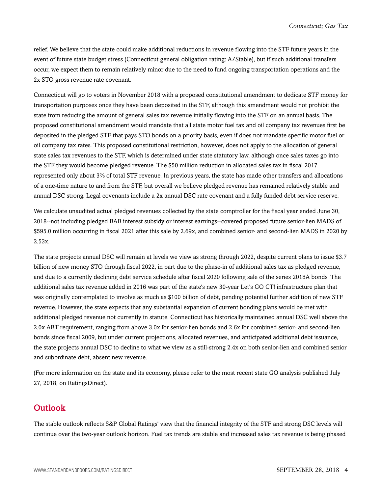relief. We believe that the state could make additional reductions in revenue flowing into the STF future years in the event of future state budget stress (Connecticut general obligation rating: A/Stable), but if such additional transfers occur, we expect them to remain relatively minor due to the need to fund ongoing transportation operations and the 2x STO gross revenue rate covenant.

Connecticut will go to voters in November 2018 with a proposed constitutional amendment to dedicate STF money for transportation purposes once they have been deposited in the STF, although this amendment would not prohibit the state from reducing the amount of general sales tax revenue initially flowing into the STF on an annual basis. The proposed constitutional amendment would mandate that all state motor fuel tax and oil company tax revenues first be deposited in the pledged STF that pays STO bonds on a priority basis, even if does not mandate specific motor fuel or oil company tax rates. This proposed constitutional restriction, however, does not apply to the allocation of general state sales tax revenues to the STF, which is determined under state statutory law, although once sales taxes go into the STF they would become pledged revenue. The \$50 million reduction in allocated sales tax in fiscal 2017 represented only about 3% of total STF revenue. In previous years, the state has made other transfers and allocations of a one-time nature to and from the STF, but overall we believe pledged revenue has remained relatively stable and annual DSC strong. Legal covenants include a 2x annual DSC rate covenant and a fully funded debt service reserve.

We calculate unaudited actual pledged revenues collected by the state comptroller for the fiscal year ended June 30, 2018--not including pledged BAB interest subsidy or interest earnings--covered proposed future senior-lien MADS of \$595.0 million occurring in fiscal 2021 after this sale by 2.69x, and combined senior- and second-lien MADS in 2020 by 2.53x.

The state projects annual DSC will remain at levels we view as strong through 2022, despite current plans to issue \$3.7 billion of new money STO through fiscal 2022, in part due to the phase-in of additional sales tax as pledged revenue, and due to a currently declining debt service schedule after fiscal 2020 following sale of the series 2018A bonds. The additional sales tax revenue added in 2016 was part of the state's new 30-year Let's GO CT! infrastructure plan that was originally contemplated to involve as much as \$100 billion of debt, pending potential further addition of new STF revenue. However, the state expects that any substantial expansion of current bonding plans would be met with additional pledged revenue not currently in statute. Connecticut has historically maintained annual DSC well above the 2.0x ABT requirement, ranging from above 3.0x for senior-lien bonds and 2.6x for combined senior- and second-lien bonds since fiscal 2009, but under current projections, allocated revenues, and anticipated additional debt issuance, the state projects annual DSC to decline to what we view as a still-strong 2.4x on both senior-lien and combined senior and subordinate debt, absent new revenue.

(For more information on the state and its economy, please refer to the most recent state GO analysis published July 27, 2018, on RatingsDirect).

### <span id="page-3-0"></span>**Outlook**

The stable outlook reflects S&P Global Ratings' view that the financial integrity of the STF and strong DSC levels will continue over the two-year outlook horizon. Fuel tax trends are stable and increased sales tax revenue is being phased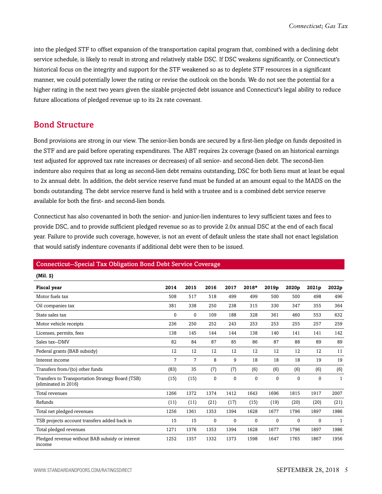into the pledged STF to offset expansion of the transportation capital program that, combined with a declining debt service schedule, is likely to result in strong and relatively stable DSC. If DSC weakens significantly, or Connecticut's historical focus on the integrity and support for the STF weakened so as to deplete STF resources in a significant manner, we could potentially lower the rating or revise the outlook on the bonds. We do not see the potential for a higher rating in the next two years given the sizable projected debt issuance and Connecticut's legal ability to reduce future allocations of pledged revenue up to its 2x rate covenant.

#### <span id="page-4-0"></span>Bond Structure

Bond provisions are strong in our view. The senior-lien bonds are secured by a first-lien pledge on funds deposited in the STF and are paid before operating expenditures. The ABT requires 2x coverage (based on an historical earnings test adjusted for approved tax rate increases or decreases) of all senior- and second-lien debt. The second-lien indenture also requires that as long as second-lien debt remains outstanding, DSC for both liens must at least be equal to 2x annual debt. In addition, the debt service reserve fund must be funded at an amount equal to the MADS on the bonds outstanding. The debt service reserve fund is held with a trustee and is a combined debt service reserve available for both the first- and second-lien bonds.

Connecticut has also covenanted in both the senior- and junior-lien indentures to levy sufficient taxes and fees to provide DSC, and to provide sufficient pledged revenue so as to provide 2.0x annual DSC at the end of each fiscal year. Failure to provide such coverage, however, is not an event of default unless the state shall not enact legislation that would satisfy indenture covenants if additional debt were then to be issued.

#### Connecticut--Special Tax Obligation Bond Debt Service Coverage

| (Mil. S)                                                                 |      |                |              |              |       |              |              |             |              |
|--------------------------------------------------------------------------|------|----------------|--------------|--------------|-------|--------------|--------------|-------------|--------------|
| <b>Fiscal year</b>                                                       | 2014 | 2015           | 2016         | 2017         | 2018* | 2019p        | 2020p        | 2021p       | 2022p        |
| Motor fuels tax                                                          | 508  | 517            | 518          | 499          | 499   | 500          | 500          | 498         | 496          |
| Oil companies tax                                                        | 381  | 338            | 250          | 238          | 315   | 330          | 347          | 355         | 364          |
| State sales tax                                                          | 0    | $\mathbf 0$    | 109          | 188          | 328   | 361          | 460          | 553         | 632          |
| Motor vehicle receipts                                                   | 236  | 250            | 252          | 243          | 253   | 253          | 255          | 257         | 259          |
| Licenses, permits, fees                                                  | 138  | 145            | 144          | 144          | 138   | 140          | 141          | 141         | 142          |
| Sales tax--DMV                                                           | 82   | 84             | 87           | 85           | 86    | 87           | 88           | 89          | 89           |
| Federal grants (BAB subsidy)                                             | 12   | 12             | 12           | 12           | 12    | 12           | 12           | 12          | 11           |
| Interest income                                                          | 7    | $\overline{7}$ | 8            | 9            | 18    | 18           | 18           | 19          | 19           |
| Transfers from/(to) other funds                                          | (83) | 35             | (7)          | (7)          | (6)   | (6)          | (6)          | (6)         | (6)          |
| Transfers to Transportation Strategy Board (TSB)<br>(eliminated in 2016) | (15) | (15)           | $\mathbf{0}$ | $\mathbf{0}$ | 0     | $\mathbf{0}$ | $\mathbf{0}$ | $\mathbf 0$ | $\mathbf{1}$ |
| Total revenues                                                           | 1266 | 1372           | 1374         | 1412         | 1643  | 1696         | 1815         | 1917        | 2007         |
| Refunds                                                                  | (11) | (11)           | (21)         | (17)         | (15)  | (19)         | (20)         | (20)        | (21)         |
| Total net pledged revenues                                               | 1256 | 1361           | 1353         | 1394         | 1628  | 1677         | 1796         | 1897        | 1986         |
| TSB projects account transfers added back in                             | 15   | 15             | $\mathbf{0}$ | $\mathbf{0}$ | 0     | $\mathbf{0}$ | $\mathbf{0}$ | $\mathbf 0$ | $\mathbf{1}$ |
| Total pledged revenues                                                   | 1271 | 1376           | 1353         | 1394         | 1628  | 1677         | 1796         | 1897        | 1986         |
| Pledged revenue without BAB subsidy or interest<br>income                | 1252 | 1357           | 1332         | 1373         | 1598  | 1647         | 1765         | 1867        | 1956         |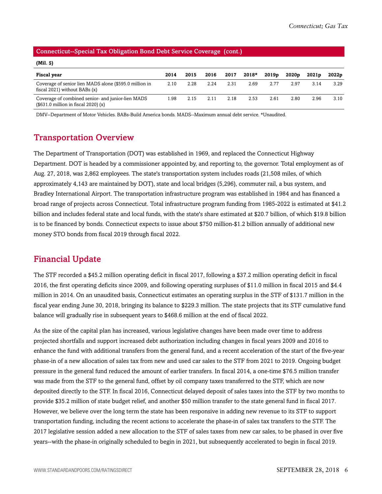#### Connecticut--Special Tax Obligation Bond Debt Service Coverage (cont.)

| (Mil. S)                                                                                            |      |      |      |      |         |       |                   |                   |                   |
|-----------------------------------------------------------------------------------------------------|------|------|------|------|---------|-------|-------------------|-------------------|-------------------|
| Fiscal year                                                                                         | 2014 | 2015 | 2016 | 2017 | $2018*$ | 2019p | 2020 <sub>p</sub> | 2021 <sub>p</sub> | 2022 <sub>p</sub> |
| Coverage of senior lien MADS alone (\$595.0 million in<br>fiscal $2021$ ) without BABs $(x)$        | 2.10 | 2.28 | 2.24 | 2.31 | 2.69    | 2.77  | 2.97              | 3.14              | 3.29              |
| Coverage of combined senior- and junior-lien MADS<br>$($631.0 \text{ million in fiscal } 2020) (x)$ | 1.98 | 2.15 | 2.11 | 2.18 | 2.53    | 2.61  | 2.80              | 2.96              | 3.10              |

<span id="page-5-0"></span>DMV--Department of Motor Vehicles. BABs-Build America bonds. MADS--Maximum annual debt service. \*Unaudited.

#### Transportation Overview

The Department of Transportation (DOT) was established in 1969, and replaced the Connecticut Highway Department. DOT is headed by a commissioner appointed by, and reporting to, the governor. Total employment as of Aug. 27, 2018, was 2,862 employees. The state's transportation system includes roads (21,508 miles, of which approximately 4,143 are maintained by DOT), state and local bridges (5,296), commuter rail, a bus system, and Bradley International Airport. The transportation infrastructure program was established in 1984 and has financed a broad range of projects across Connecticut. Total infrastructure program funding from 1985-2022 is estimated at \$41.2 billion and includes federal state and local funds, with the state's share estimated at \$20.7 billion, of which \$19.8 billion is to be financed by bonds. Connecticut expects to issue about \$750 million-\$1.2 billion annually of additional new money STO bonds from fiscal 2019 through fiscal 2022.

### <span id="page-5-1"></span>Financial Update

The STF recorded a \$45.2 million operating deficit in fiscal 2017, following a \$37.2 million operating deficit in fiscal 2016, the first operating deficits since 2009, and following operating surpluses of \$11.0 million in fiscal 2015 and \$4.4 million in 2014. On an unaudited basis, Connecticut estimates an operating surplus in the STF of \$131.7 million in the fiscal year ending June 30, 2018, bringing its balance to \$229.3 million. The state projects that its STF cumulative fund balance will gradually rise in subsequent years to \$468.6 million at the end of fiscal 2022.

As the size of the capital plan has increased, various legislative changes have been made over time to address projected shortfalls and support increased debt authorization including changes in fiscal years 2009 and 2016 to enhance the fund with additional transfers from the general fund, and a recent acceleration of the start of the five-year phase-in of a new allocation of sales tax from new and used car sales to the STF from 2021 to 2019. Ongoing budget pressure in the general fund reduced the amount of earlier transfers. In fiscal 2014, a one-time \$76.5 million transfer was made from the STF to the general fund, offset by oil company taxes transferred to the STF, which are now deposited directly to the STF. In fiscal 2016, Connecticut delayed deposit of sales taxes into the STF by two months to provide \$35.2 million of state budget relief, and another \$50 million transfer to the state general fund in fiscal 2017. However, we believe over the long term the state has been responsive in adding new revenue to its STF to support transportation funding, including the recent actions to accelerate the phase-in of sales tax transfers to the STF. The 2017 legislative session added a new allocation to the STF of sales taxes from new car sales, to be phased in over five years--with the phase-in originally scheduled to begin in 2021, but subsequently accelerated to begin in fiscal 2019.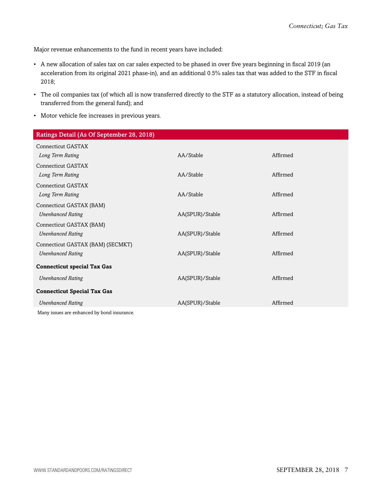Major revenue enhancements to the fund in recent years have included:

- A new allocation of sales tax on car sales expected to be phased in over five years beginning in fiscal 2019 (an acceleration from its original 2021 phase-in), and an additional 0.5% sales tax that was added to the STF in fiscal 2018;
- The oil companies tax (of which all is now transferred directly to the STF as a statutory allocation, instead of being transferred from the general fund); and
- Motor vehicle fee increases in previous years.

| Ratings Detail (As Of September 28, 2018)   |                 |          |
|---------------------------------------------|-----------------|----------|
| <b>Connecticut GASTAX</b>                   |                 |          |
| Long Term Rating                            | AA/Stable       | Affirmed |
| Connecticut GASTAX                          |                 |          |
| Long Term Rating                            | AA/Stable       | Affirmed |
| <b>Connecticut GASTAX</b>                   |                 |          |
| Long Term Rating                            | AA/Stable       | Affirmed |
| Connecticut GASTAX (BAM)                    |                 |          |
| <b>Unenhanced Rating</b>                    | AA(SPUR)/Stable | Affirmed |
| Connecticut GASTAX (BAM)                    |                 |          |
| <b>Unenhanced Rating</b>                    | AA(SPUR)/Stable | Affirmed |
| Connecticut GASTAX (BAM) (SECMKT)           |                 |          |
| <b>Unenhanced Rating</b>                    | AA(SPUR)/Stable | Affirmed |
| <b>Connecticut special Tax Gas</b>          |                 |          |
| <b>Unenhanced Rating</b>                    | AA(SPUR)/Stable | Affirmed |
|                                             |                 |          |
| <b>Connecticut Special Tax Gas</b>          |                 |          |
| <b>Unenhanced Rating</b>                    | AA(SPUR)/Stable | Affirmed |
| Many issues are enhanced by bond insurance. |                 |          |